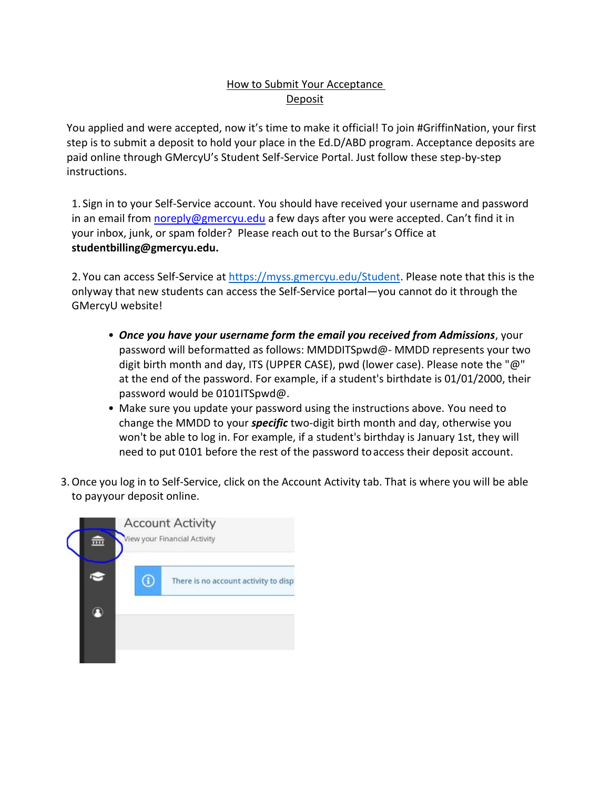## How to Submit Your Acceptance Deposit

You applied and were accepted, now it's time to make it official! To join #GriffinNation, your first step is to submit a deposit to hold your place in the Ed.D/ABD program. Acceptance deposits are paid online through GMercyU's Student Self-Service Portal. Just follow these step-by-step instructions.

1. Sign in to your Self-Service account. You should have received your username and password in an email from [noreply@gmercyu.edu](mailto:noreply@gmercyu.edu) a few days after you were accepted. Can't find it in your inbox, junk, or spam folder? Please reach out to the Bursar's Office at **[studentbilling@gmercyu.edu.](mailto:studentbilling@gmercyu.edu)**

2. You can access Self-Service at [https://myss.gmercyu.edu/Student. P](https://myss.gmercyu.edu/Student)lease note that this is the onlyway that new students can access the Self-Service portal—you cannot do it through the GMercyU website!

- *Once you have your username form the email you received from Admissions*, your password will beformatted as follows: MMDDITSpwd@- MMDD represents your two digit birth month and day, ITS (UPPER CASE), pwd (lower case). Please note the "@" at the end of the password. For example, if a student's birthdate is 01/01/2000, their password would be 0101ITSpwd@.
- Make sure you update your password using the instructions above. You need to change the MMDD to your *specific* two-digit birth month and day, otherwise you won't be able to log in. For example, if a student's birthday is January 1st, they will need to put 0101 before the rest of the password to access their deposit account.
- 3.Once you log in to Self-Service, click on the Account Activity tab. That is where you will be able to payyour deposit online.

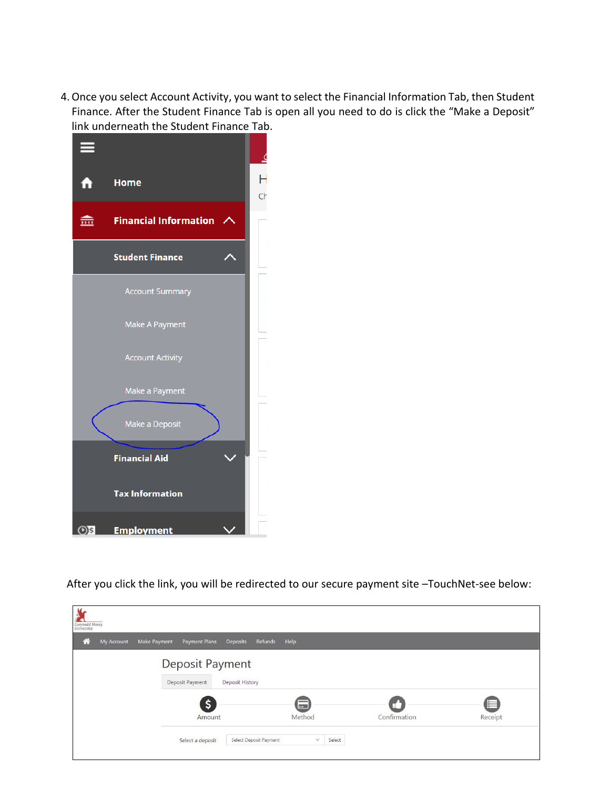4.Once you select Account Activity, you want to select the Financial Information Tab, then Student Finance. After the Student Finance Tab is open all you need to do is click the "Make a Deposit" link underneath the Student Finance Tab.



After you click the link, you will be redirected to our secure payment site –TouchNet-see below:

| M<br>Gwynedd Mercy<br>University |                                    |                                  |              |              |
|----------------------------------|------------------------------------|----------------------------------|--------------|--------------|
| 合<br>My Account                  | Make Payment<br>Payment Plans      | Refunds<br>Help<br>Deposits      |              |              |
|                                  | Deposit Payment<br>Deposit Payment | <b>Deposit History</b>           |              |              |
|                                  | \$<br>Amount                       | 后<br>Method                      | Confirmation | ⊫<br>Receipt |
|                                  | Select a deposit                   | $\vee$<br>Select Deposit Payment | Select       |              |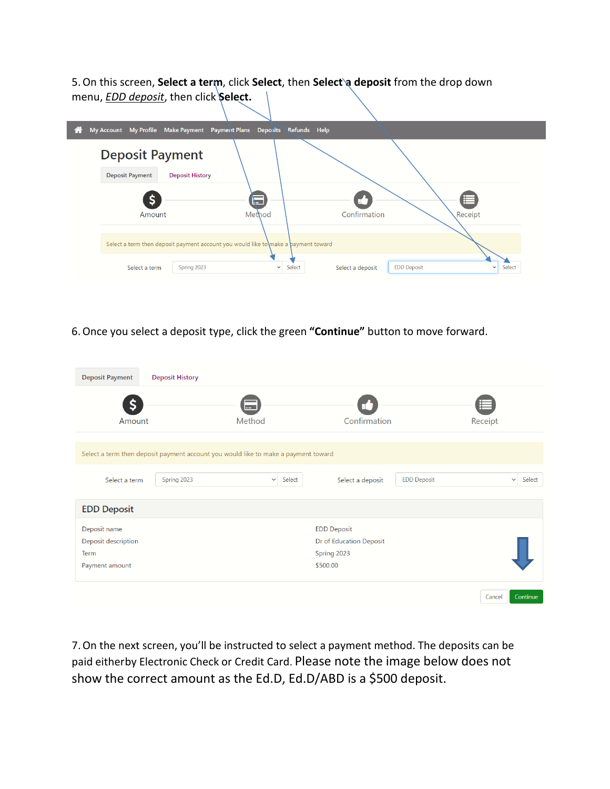5.On this screen, **Select a term**, click **Select**, then **Select a deposit** from the drop down menu, *EDD deposit*, then click **Select.**

| A                      | My Account My Profile Make Payment Payment Plans Deposits Refunds Help             |                        |                                        |                       |
|------------------------|------------------------------------------------------------------------------------|------------------------|----------------------------------------|-----------------------|
| <b>Deposit Payment</b> |                                                                                    |                        |                                        |                       |
| <b>Deposit Payment</b> | <b>Deposit History</b>                                                             |                        |                                        |                       |
| S                      |                                                                                    | ⊢                      |                                        | ⋿                     |
| Amount                 |                                                                                    | Method                 | Confirmation                           | Receipt               |
|                        | Select a term then deposit payment account you would like to make a payment toward |                        |                                        |                       |
| Select a term          | Spring 2023                                                                        | Select<br>$\checkmark$ | <b>EDD Deposit</b><br>Select a deposit | Select<br>$\check{~}$ |

6.Once you select a deposit type, click the green **"Continue"** button to move forward.

| <b>Deposit Payment</b> | <b>Deposit History</b>                                                             |                         |                         |                    |              |          |
|------------------------|------------------------------------------------------------------------------------|-------------------------|-------------------------|--------------------|--------------|----------|
| Amount                 |                                                                                    | <b>The Co</b><br>Method | Confirmation            |                    | F<br>Receipt |          |
|                        | Select a term then deposit payment account you would like to make a payment toward |                         |                         |                    |              |          |
| Select a term          | Spring 2023                                                                        | Select<br>$\checkmark$  | Select a deposit        | <b>EDD Deposit</b> | $\checkmark$ | Select   |
| <b>EDD Deposit</b>     |                                                                                    |                         |                         |                    |              |          |
| Deposit name           |                                                                                    |                         | <b>EDD Deposit</b>      |                    |              |          |
| Deposit description    |                                                                                    |                         | Dr of Education Deposit |                    |              |          |
| Term                   |                                                                                    |                         | Spring 2023             |                    |              |          |
| Payment amount         |                                                                                    |                         | \$500.00                |                    |              |          |
|                        |                                                                                    |                         |                         |                    | Cancel       | Continue |

7.On the next screen, you'll be instructed to select a payment method. The deposits can be paid eitherby Electronic Check or Credit Card. Please note the image below does not show the correct amount as the Ed.D, Ed.D/ABD is a \$500 deposit.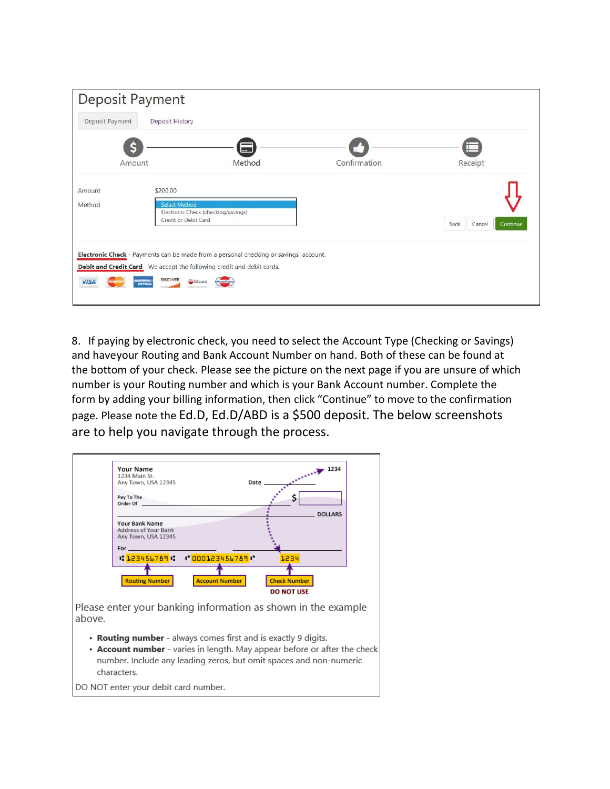| Deposit Payment  |                                                          |                                                                                                                                                                                    |              |                            |
|------------------|----------------------------------------------------------|------------------------------------------------------------------------------------------------------------------------------------------------------------------------------------|--------------|----------------------------|
| Deposit Payment  | Deposit History                                          |                                                                                                                                                                                    |              |                            |
|                  |                                                          |                                                                                                                                                                                    |              |                            |
| Amount           |                                                          | Method                                                                                                                                                                             | Confirmation | Receipt                    |
| Amount<br>Method | \$200.00<br><b>Select Method</b><br>Credit or Debit Card | Electronic Check (checking/savings)                                                                                                                                                |              | Continue<br>Back<br>Cancel |
| <b>VISI</b>      | <b>DISCOVER</b><br><b>BCcard</b><br><b>DORESS</b>        | Electronic Check - Payments can be made from a personal checking or savings account.<br>Debit and Credit Card - We accept the following credit and debit cards.<br><b>DinaCard</b> |              |                            |

8. If paying by electronic check, you need to select the Account Type (Checking or Savings) and haveyour Routing and Bank Account Number on hand. Both of these can be found at the bottom of your check. Please see the picture on the next page if you are unsure of which number is your Routing number and which is your Bank Account number. Complete the form by adding your billing information, then click "Continue" to move to the confirmation page. Please note the Ed.D, Ed.D/ABD is a \$500 deposit. The below screenshots are to help you navigate through the process.

|        | <b>Your Name</b>                                                                                                                                                                                                                 |                       |                     | $-1234$        |  |
|--------|----------------------------------------------------------------------------------------------------------------------------------------------------------------------------------------------------------------------------------|-----------------------|---------------------|----------------|--|
|        | 1234 Main St.                                                                                                                                                                                                                    |                       |                     | بمستسمع        |  |
|        | Any Town, USA 12345                                                                                                                                                                                                              |                       | Date                |                |  |
|        | Pay To The<br>Order Of                                                                                                                                                                                                           |                       |                     |                |  |
|        |                                                                                                                                                                                                                                  |                       |                     | <b>DOLLARS</b> |  |
|        | <b>Your Bank Name</b>                                                                                                                                                                                                            |                       |                     |                |  |
|        | Address of Your Bank                                                                                                                                                                                                             |                       |                     |                |  |
|        | Any Town, USA 12345                                                                                                                                                                                                              |                       |                     |                |  |
|        | For the contract of the contract of the contract of the contract of the contract of the contract of the contract of the contract of the contract of the contract of the contract of the contract of the contract of the contra   |                       |                     |                |  |
|        |                                                                                                                                                                                                                                  |                       | 1234                |                |  |
|        |                                                                                                                                                                                                                                  |                       |                     |                |  |
|        | <b>Routing Number</b>                                                                                                                                                                                                            | <b>Account Number</b> | <b>Check Number</b> |                |  |
|        |                                                                                                                                                                                                                                  |                       | <b>DO NOT USE</b>   |                |  |
| above. | Please enter your banking information as shown in the example                                                                                                                                                                    |                       |                     |                |  |
|        | • Routing number - always comes first and is exactly 9 digits.<br>• Account number - varies in length. May appear before or after the check<br>number. Include any leading zeros, but omit spaces and non-numeric<br>characters. |                       |                     |                |  |
|        | DO NOT enter your debit card number.                                                                                                                                                                                             |                       |                     |                |  |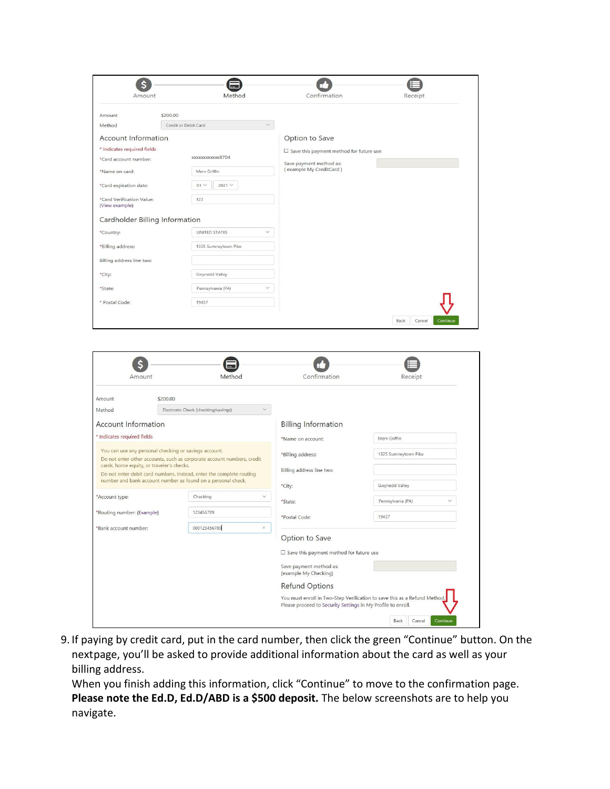| \$200.00<br>Credit or Debit Card<br>xxxxxxxxxxxx8704<br>Merv Griffin<br>01 <sup>2</sup><br>$2021$ $\vee$<br>123 | $\checkmark$<br>Option to Save<br>$\Box$ Save this payment method for future use<br>Save payment method as:<br>(example My CreditCard) |
|-----------------------------------------------------------------------------------------------------------------|----------------------------------------------------------------------------------------------------------------------------------------|
|                                                                                                                 |                                                                                                                                        |
|                                                                                                                 |                                                                                                                                        |
|                                                                                                                 |                                                                                                                                        |
|                                                                                                                 |                                                                                                                                        |
|                                                                                                                 |                                                                                                                                        |
|                                                                                                                 |                                                                                                                                        |
|                                                                                                                 |                                                                                                                                        |
| Cardholder Billing Information                                                                                  |                                                                                                                                        |
| UNITED STATES                                                                                                   | $\checkmark$                                                                                                                           |
| 1325 Sumneytown Pike                                                                                            |                                                                                                                                        |
|                                                                                                                 |                                                                                                                                        |
| Gwynedd Valley                                                                                                  |                                                                                                                                        |
| Pennsylvania (PA)                                                                                               | $\checkmark$                                                                                                                           |
| 19437                                                                                                           |                                                                                                                                        |
|                                                                                                                 |                                                                                                                                        |

| Amount                                    | Method                                                                                                                               | Confirmation                                                                                                                                  | Receipt                                                                   |
|-------------------------------------------|--------------------------------------------------------------------------------------------------------------------------------------|-----------------------------------------------------------------------------------------------------------------------------------------------|---------------------------------------------------------------------------|
| Amount                                    | \$200,00                                                                                                                             |                                                                                                                                               |                                                                           |
| Method                                    | Electronic Check (checking/savings)                                                                                                  |                                                                                                                                               |                                                                           |
| <b>Account Information</b>                |                                                                                                                                      | <b>Billing Information</b>                                                                                                                    |                                                                           |
| * Indicates required fields               |                                                                                                                                      | *Name on account:                                                                                                                             | Merv Griffin                                                              |
| cards, home equity, or traveler's checks. | You can use any personal checking or savings account.<br>Do not enter other accounts, such as corporate account numbers, credit      | *Billing address:<br>Billing address line two:                                                                                                | 1325 Sumneytown Pike                                                      |
|                                           | Do not enter debit card numbers. Instead, enter the complete routing<br>number and bank account number as found on a personal check. | *City:                                                                                                                                        | Gwynedd Valley                                                            |
| *Account type:                            | Checking                                                                                                                             | $\checkmark$<br>*State:                                                                                                                       | Pennsylvania (PA)<br>$\checkmark$                                         |
| *Routing number: (Example)                | 123456789                                                                                                                            | *Postal Code:                                                                                                                                 | 19437                                                                     |
| *Bank account number:                     | 000123456789                                                                                                                         | $\times$                                                                                                                                      |                                                                           |
|                                           |                                                                                                                                      | Option to Save<br>$\Box$ Save this payment method for future use<br>Save payment method as:<br>(example My Checking)<br><b>Refund Options</b> | You must enroll in Two-Step Verification to save this as a Refund Method. |

9. If paying by credit card, put in the card number, then click the green "Continue" button. On the nextpage, you'll be asked to provide additional information about the card as well as your billing address.

When you finish adding this information, click "Continue" to move to the confirmation page. **Please note the Ed.D, Ed.D/ABD is a \$500 deposit.** The below screenshots are to help you navigate.